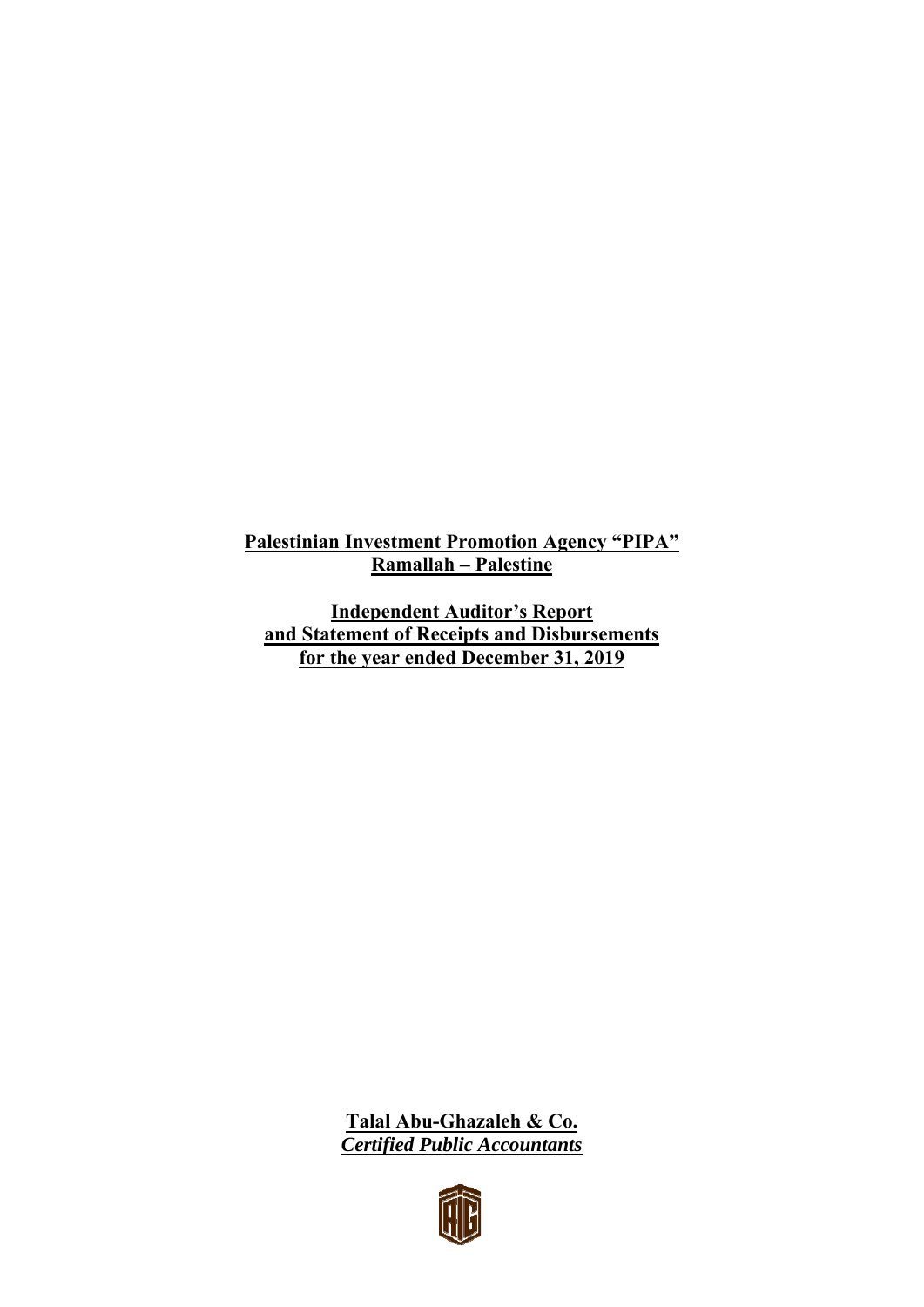**Palestinian Investment Promotion Agency "PIPA" Ramallah – Palestine** 

**Independent Auditor's Report and Statement of Receipts and Disbursements for the year ended December 31, 2019** 

> **Talal Abu-Ghazaleh & Co.**  *Certified Public Accountants*

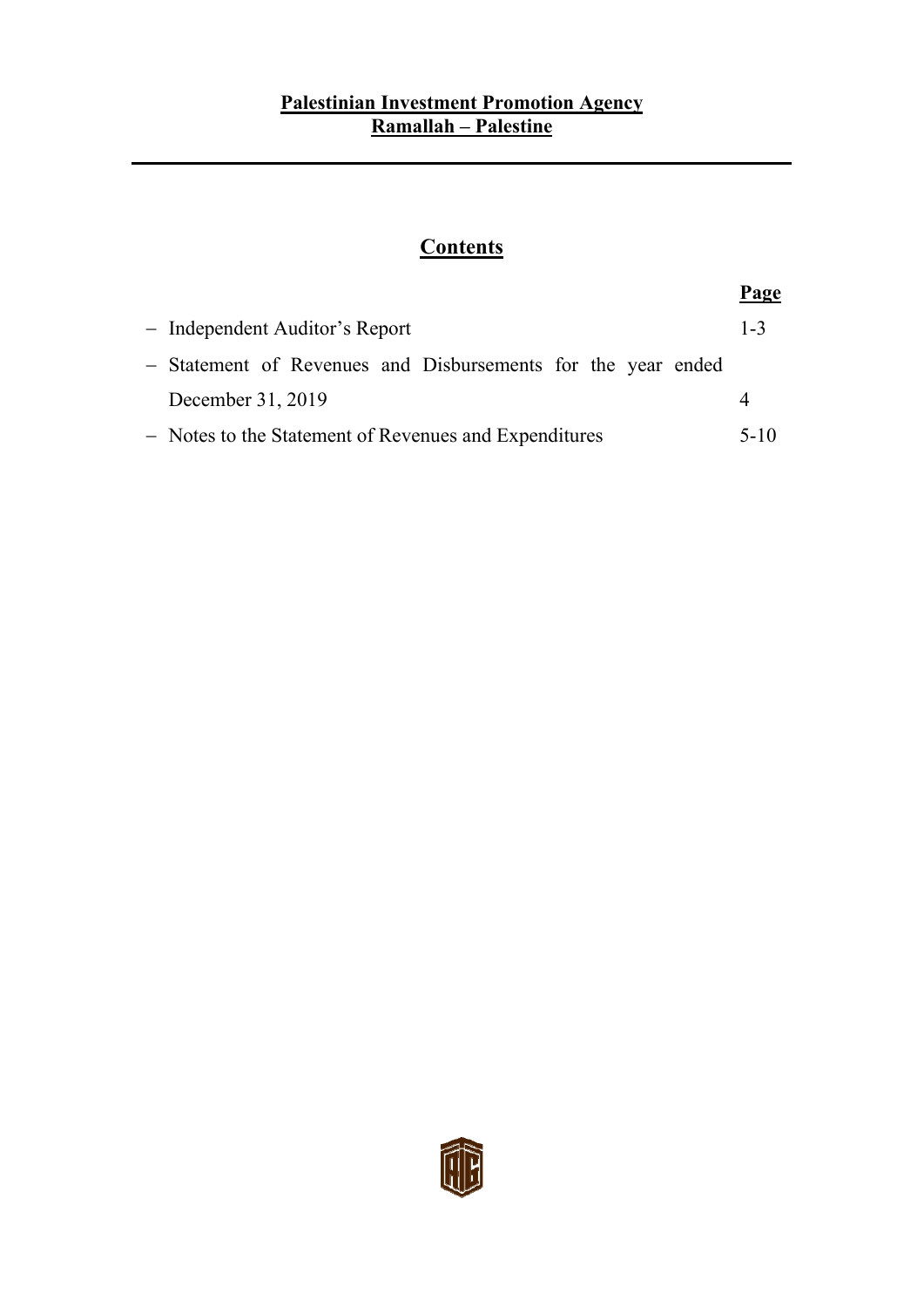# **Contents**

|                                                              | Page    |
|--------------------------------------------------------------|---------|
| - Independent Auditor's Report                               | $1 - 3$ |
| - Statement of Revenues and Disbursements for the year ended |         |
| December 31, 2019                                            | 4       |
| - Notes to the Statement of Revenues and Expenditures        | $5-10$  |

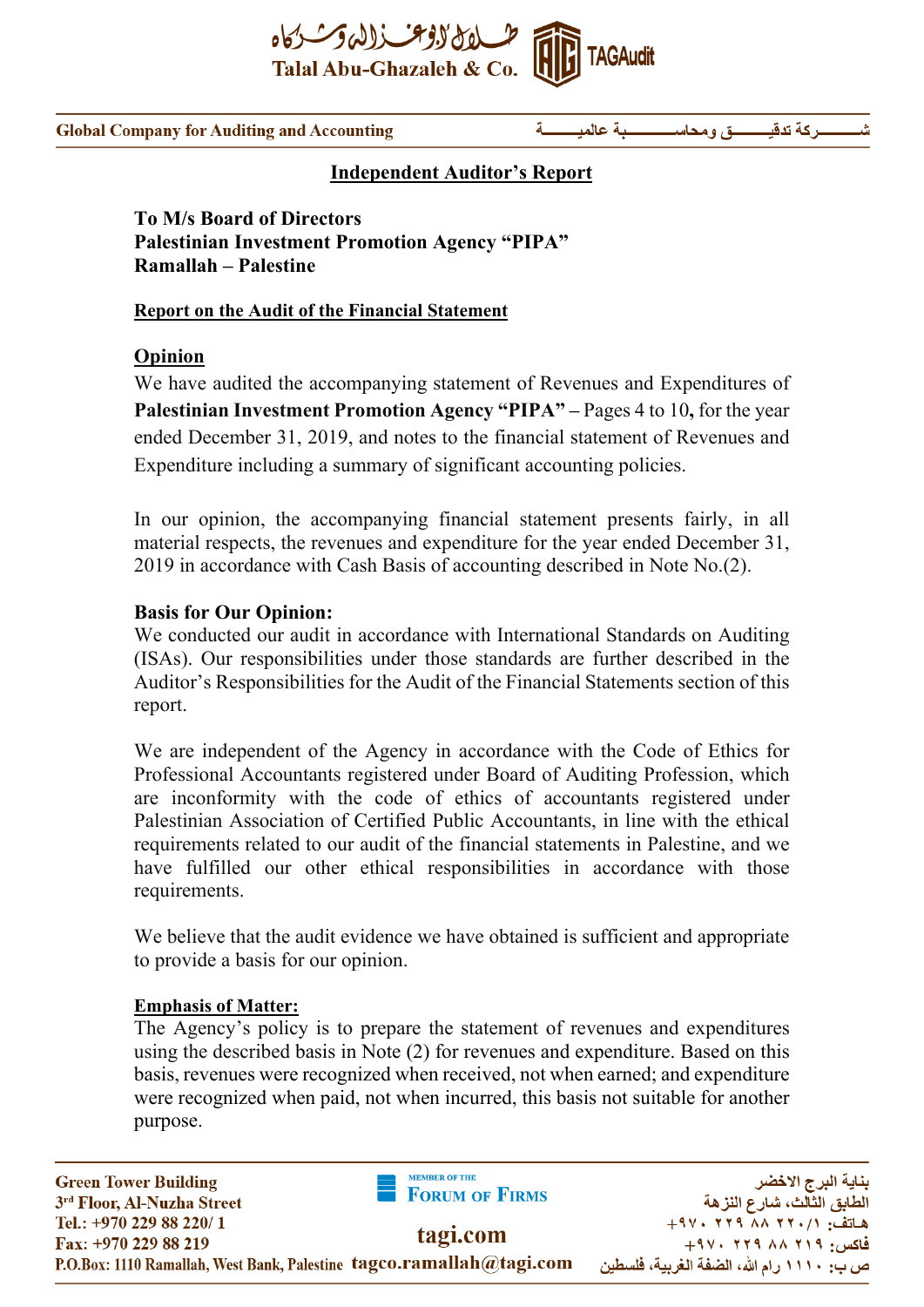

**Global Company for Auditing and Accounting** 

ے کة تد<u>ق</u> سبة عالمد <mark>ـق ومحا</mark>س

# **Independent Auditor's Report**

**To M/s Board of Directors Palestinian Investment Promotion Agency "PIPA" Ramallah – Palestine** 

#### **Report on the Audit of the Financial Statement**

#### **Opinion**

We have audited the accompanying statement of Revenues and Expenditures of **Palestinian Investment Promotion Agency "PIPA" – Pages 4 to 10, for the year** ended December 31, 2019, and notes to the financial statement of Revenues and Expenditure including a summary of significant accounting policies.

In our opinion, the accompanying financial statement presents fairly, in all material respects, the revenues and expenditure for the year ended December 31, 2019 in accordance with Cash Basis of accounting described in Note No.(2).

#### **Basis for Our Opinion:**

We conducted our audit in accordance with International Standards on Auditing (ISAs). Our responsibilities under those standards are further described in the Auditor's Responsibilities for the Audit of the Financial Statements section of this report.

We are independent of the Agency in accordance with the Code of Ethics for Professional Accountants registered under Board of Auditing Profession, which are inconformity with the code of ethics of accountants registered under Palestinian Association of Certified Public Accountants, in line with the ethical requirements related to our audit of the financial statements in Palestine, and we have fulfilled our other ethical responsibilities in accordance with those requirements.

We believe that the audit evidence we have obtained is sufficient and appropriate to provide a basis for our opinion.

#### **Emphasis of Matter:**

The Agency's policy is to prepare the statement of revenues and expenditures using the described basis in Note (2) for revenues and expenditure. Based on this basis, revenues were recognized when received, not when earned; and expenditure were recognized when paid, not when incurred, this basis not suitable for another purpose.

**MEMBER OF THE Green Tower Building FORUM OF FIRMS** <sup>3rd</sup> Floor, Al-Nuzha Street Tel.: +970 229 88 220/1 tagi.com Fax: +970 229 88 219 P.O.Box: 1110 Ramallah, West Bank, Palestine tagco.ramallah@tagi.com

بناية البرج الاخضر الطابق الثالث، شارع النزهة هاتف: ١/ ٢٦٠ ٨٨ ٢٢٩ ٣٩٧٠  $+9$ ٧٠ ٢٢٩ ٨٨ ٢١٩ فاكس ص ب: ١١١٠ رام الله، الضفة الغربية، فلسطين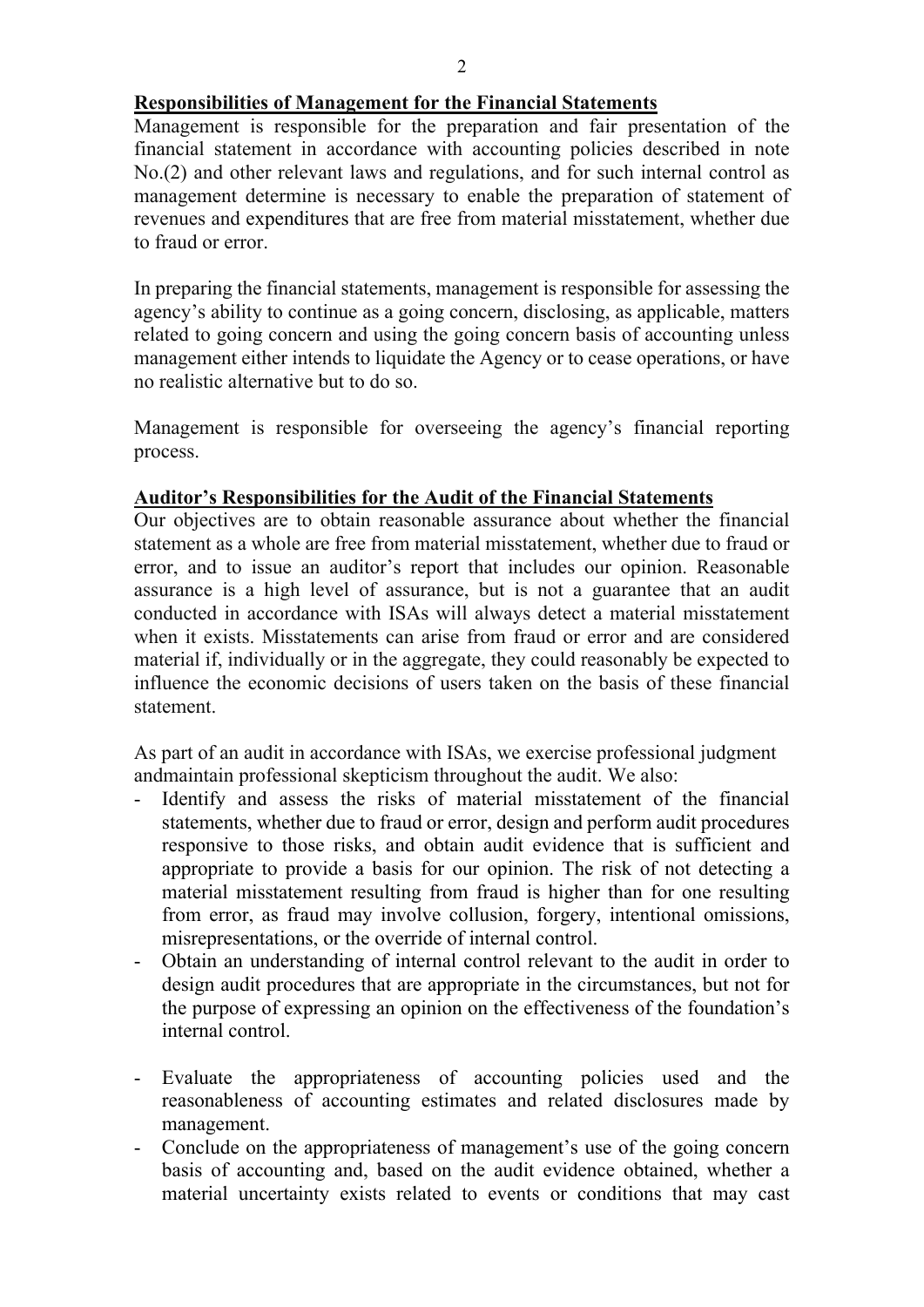#### **Responsibilities of Management for the Financial Statements**

Management is responsible for the preparation and fair presentation of the financial statement in accordance with accounting policies described in note No.(2) and other relevant laws and regulations, and for such internal control as management determine is necessary to enable the preparation of statement of revenues and expenditures that are free from material misstatement, whether due to fraud or error.

In preparing the financial statements, management is responsible for assessing the agency's ability to continue as a going concern, disclosing, as applicable, matters related to going concern and using the going concern basis of accounting unless management either intends to liquidate the Agency or to cease operations, or have no realistic alternative but to do so.

Management is responsible for overseeing the agency's financial reporting process.

#### **Auditor's Responsibilities for the Audit of the Financial Statements**

Our objectives are to obtain reasonable assurance about whether the financial statement as a whole are free from material misstatement, whether due to fraud or error, and to issue an auditor's report that includes our opinion. Reasonable assurance is a high level of assurance, but is not a guarantee that an audit conducted in accordance with ISAs will always detect a material misstatement when it exists. Misstatements can arise from fraud or error and are considered material if, individually or in the aggregate, they could reasonably be expected to influence the economic decisions of users taken on the basis of these financial statement.

As part of an audit in accordance with ISAs, we exercise professional judgment andmaintain professional skepticism throughout the audit. We also:

- Identify and assess the risks of material misstatement of the financial statements, whether due to fraud or error, design and perform audit procedures responsive to those risks, and obtain audit evidence that is sufficient and appropriate to provide a basis for our opinion. The risk of not detecting a material misstatement resulting from fraud is higher than for one resulting from error, as fraud may involve collusion, forgery, intentional omissions, misrepresentations, or the override of internal control.
- Obtain an understanding of internal control relevant to the audit in order to design audit procedures that are appropriate in the circumstances, but not for the purpose of expressing an opinion on the effectiveness of the foundation's internal control.
- Evaluate the appropriateness of accounting policies used and the reasonableness of accounting estimates and related disclosures made by management.
- Conclude on the appropriateness of management's use of the going concern basis of accounting and, based on the audit evidence obtained, whether a material uncertainty exists related to events or conditions that may cast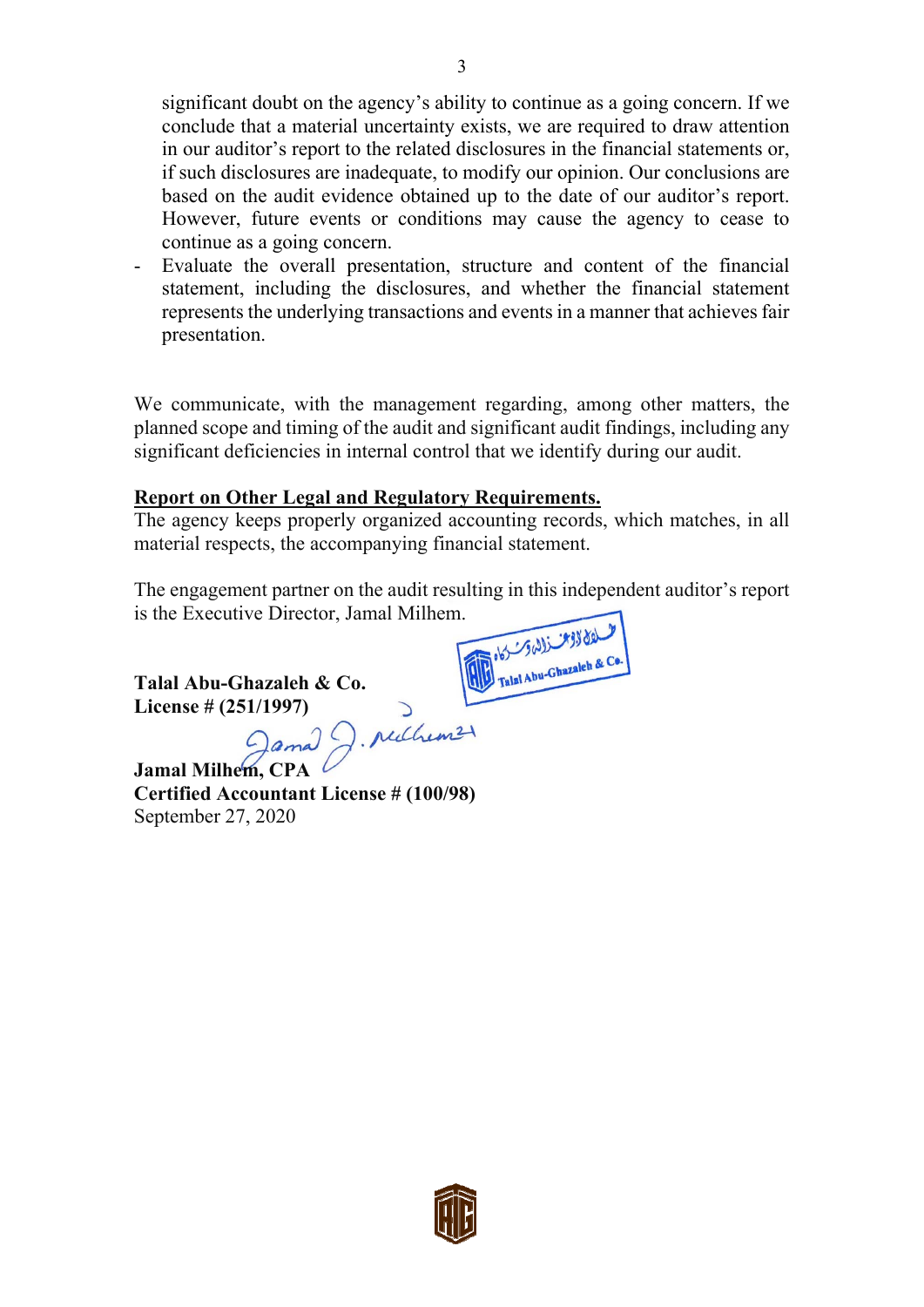significant doubt on the agency's ability to continue as a going concern. If we conclude that a material uncertainty exists, we are required to draw attention in our auditor's report to the related disclosures in the financial statements or, if such disclosures are inadequate, to modify our opinion. Our conclusions are based on the audit evidence obtained up to the date of our auditor's report. However, future events or conditions may cause the agency to cease to continue as a going concern.

Evaluate the overall presentation, structure and content of the financial statement, including the disclosures, and whether the financial statement represents the underlying transactions and events in a manner that achieves fair presentation.

We communicate, with the management regarding, among other matters, the planned scope and timing of the audit and significant audit findings, including any significant deficiencies in internal control that we identify during our audit.

# **Report on Other Legal and Regulatory Requirements.**

The agency keeps properly organized accounting records, which matches, in all material respects, the accompanying financial statement.

The engagement partner on the audit resulting in this independent auditor's report is the Executive Director, Jamal Milhem.<br>
Talal Abu-Ghazaleh & Co.<br>
Liecus: "

**Talal Abu-Ghazaleh & Co. License # (251/1997)** 

**Jamal Milhem, CPA Certified Accountant License # (100/98)**  September 27, 2020

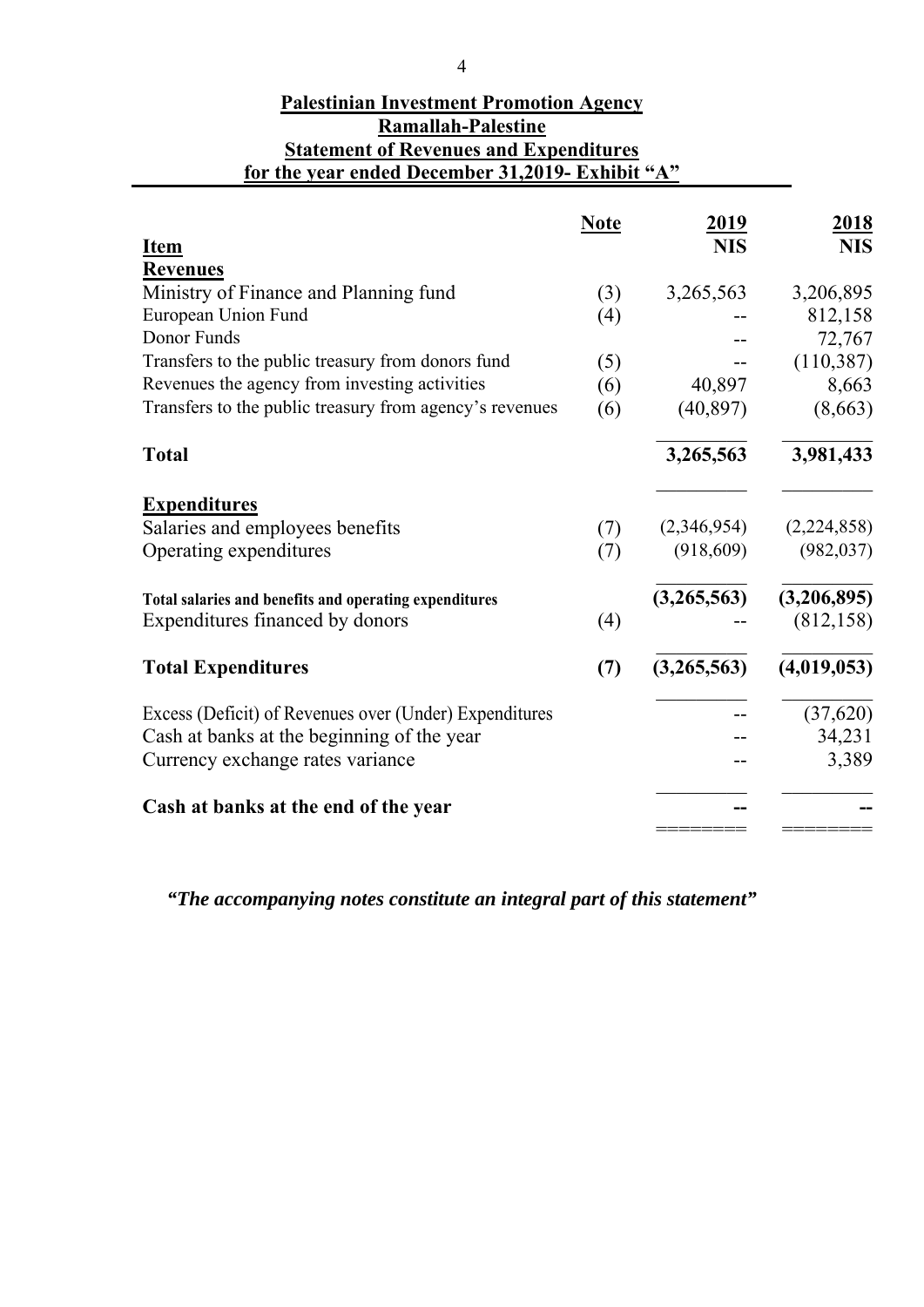# **Palestinian Investment Promotion Agency Ramallah-Palestine Statement of Revenues and Expenditures for the year ended December 31,2019- Exhibit "A"**

|                                                         | <b>Note</b> | <u>2019</u> | 2018        |
|---------------------------------------------------------|-------------|-------------|-------------|
| <b>Item</b>                                             |             | <b>NIS</b>  | <b>NIS</b>  |
| <b>Revenues</b>                                         |             |             |             |
| Ministry of Finance and Planning fund                   | (3)         | 3,265,563   | 3,206,895   |
| European Union Fund                                     | (4)         |             | 812,158     |
| Donor Funds                                             |             |             | 72,767      |
| Transfers to the public treasury from donors fund       | (5)         |             | (110, 387)  |
| Revenues the agency from investing activities           | (6)         | 40,897      | 8,663       |
| Transfers to the public treasury from agency's revenues | (6)         | (40, 897)   | (8,663)     |
| <b>Total</b>                                            |             | 3,265,563   | 3,981,433   |
| <b>Expenditures</b>                                     |             |             |             |
| Salaries and employees benefits                         | (7)         | (2,346,954) | (2,224,858) |
| Operating expenditures                                  | (7)         | (918, 609)  | (982, 037)  |
| Total salaries and benefits and operating expenditures  |             | (3,265,563) | (3,206,895) |
| Expenditures financed by donors                         | (4)         |             | (812, 158)  |
| <b>Total Expenditures</b>                               | (7)         | (3,265,563) | (4,019,053) |
| Excess (Deficit) of Revenues over (Under) Expenditures  |             |             | (37,620)    |
| Cash at banks at the beginning of the year              |             |             | 34,231      |
| Currency exchange rates variance                        |             |             | 3,389       |
| Cash at banks at the end of the year                    |             |             |             |
|                                                         |             |             |             |

*"The accompanying notes constitute an integral part of this statement"*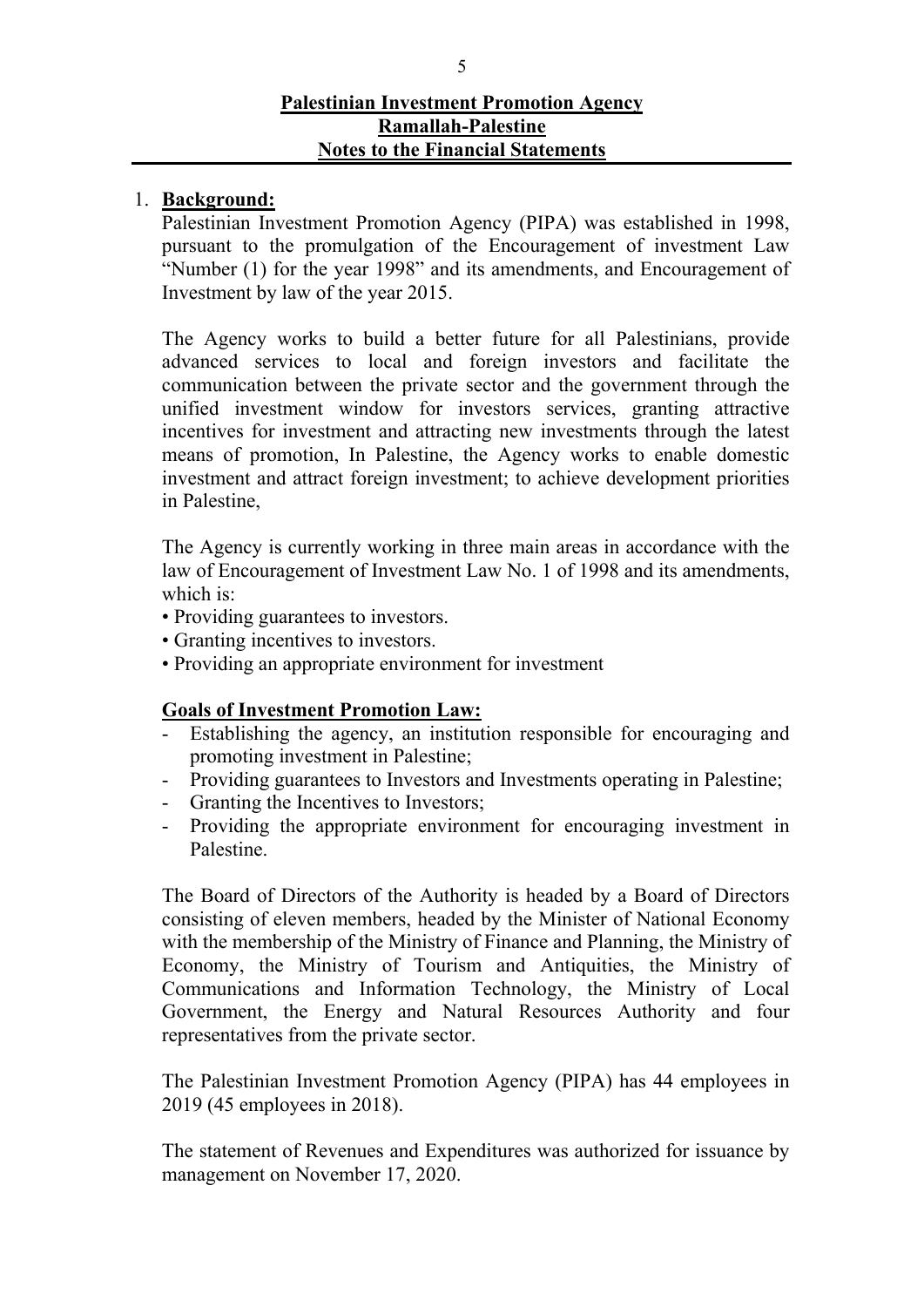# 1. **Background:**

Palestinian Investment Promotion Agency (PIPA) was established in 1998, pursuant to the promulgation of the Encouragement of investment Law "Number (1) for the year 1998" and its amendments, and Encouragement of Investment by law of the year 2015.

The Agency works to build a better future for all Palestinians, provide advanced services to local and foreign investors and facilitate the communication between the private sector and the government through the unified investment window for investors services, granting attractive incentives for investment and attracting new investments through the latest means of promotion, In Palestine, the Agency works to enable domestic investment and attract foreign investment; to achieve development priorities in Palestine,

The Agency is currently working in three main areas in accordance with the law of Encouragement of Investment Law No. 1 of 1998 and its amendments, which is:

- Providing guarantees to investors.
- Granting incentives to investors.
- Providing an appropriate environment for investment

# **Goals of Investment Promotion Law:**

- Establishing the agency, an institution responsible for encouraging and promoting investment in Palestine;
- Providing guarantees to Investors and Investments operating in Palestine;
- Granting the Incentives to Investors;
- Providing the appropriate environment for encouraging investment in Palestine.

The Board of Directors of the Authority is headed by a Board of Directors consisting of eleven members, headed by the Minister of National Economy with the membership of the Ministry of Finance and Planning, the Ministry of Economy, the Ministry of Tourism and Antiquities, the Ministry of Communications and Information Technology, the Ministry of Local Government, the Energy and Natural Resources Authority and four representatives from the private sector.

The Palestinian Investment Promotion Agency (PIPA) has 44 employees in 2019 (45 employees in 2018).

The statement of Revenues and Expenditures was authorized for issuance by management on November 17, 2020.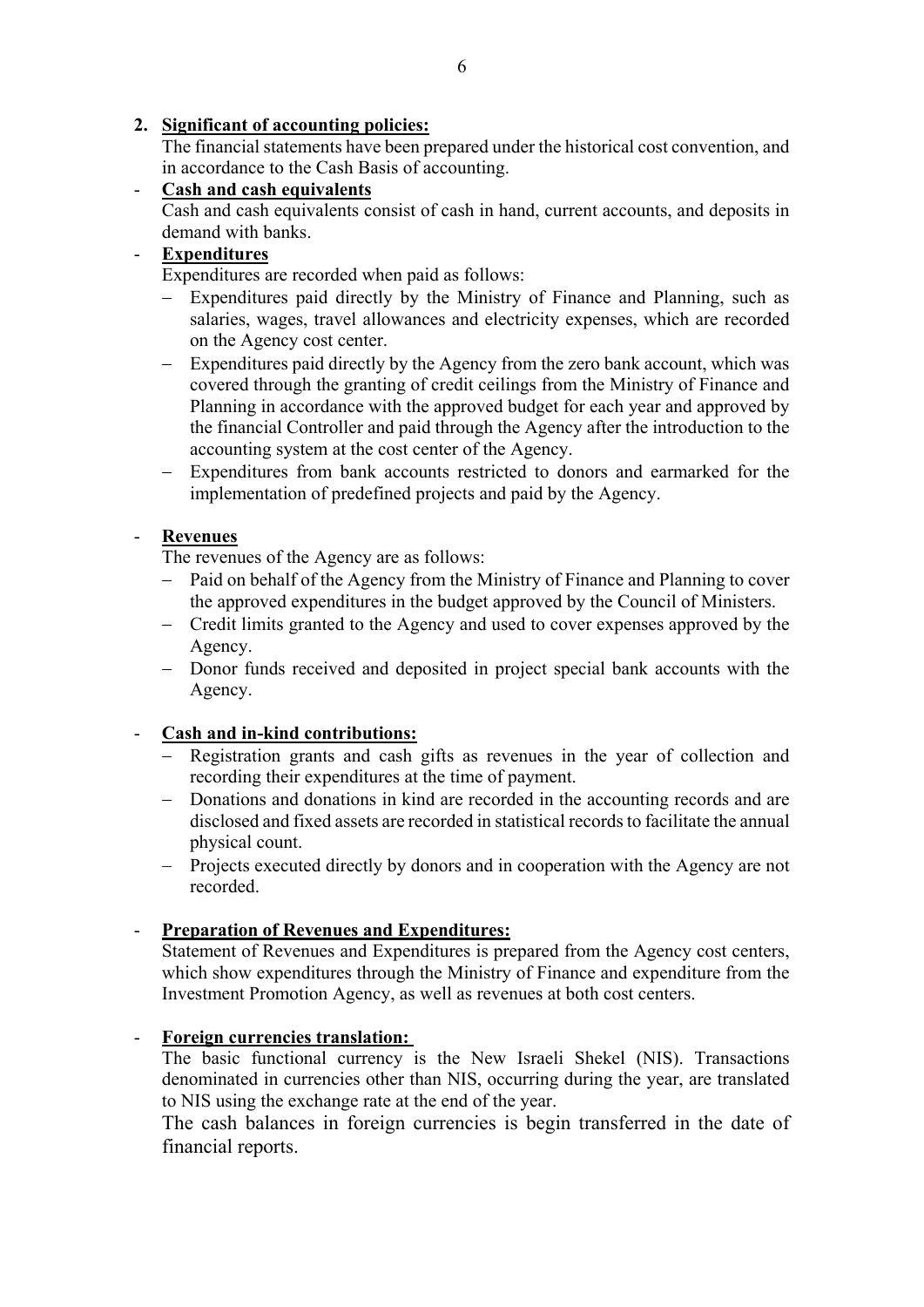#### **2. Significant of accounting policies:**

The financial statements have been prepared under the historical cost convention, and in accordance to the Cash Basis of accounting.

#### - **Cash and cash equivalents**

Cash and cash equivalents consist of cash in hand, current accounts, and deposits in demand with banks.

#### - **Expenditures**

Expenditures are recorded when paid as follows:

- Expenditures paid directly by the Ministry of Finance and Planning, such as salaries, wages, travel allowances and electricity expenses, which are recorded on the Agency cost center.
- Expenditures paid directly by the Agency from the zero bank account, which was covered through the granting of credit ceilings from the Ministry of Finance and Planning in accordance with the approved budget for each year and approved by the financial Controller and paid through the Agency after the introduction to the accounting system at the cost center of the Agency.
- Expenditures from bank accounts restricted to donors and earmarked for the implementation of predefined projects and paid by the Agency.

#### - **Revenues**

The revenues of the Agency are as follows:

- Paid on behalf of the Agency from the Ministry of Finance and Planning to cover the approved expenditures in the budget approved by the Council of Ministers.
- Credit limits granted to the Agency and used to cover expenses approved by the Agency.
- Donor funds received and deposited in project special bank accounts with the Agency.

# - **Cash and in-kind contributions:**

- Registration grants and cash gifts as revenues in the year of collection and recording their expenditures at the time of payment.
- Donations and donations in kind are recorded in the accounting records and are disclosed and fixed assets are recorded in statistical records to facilitate the annual physical count.
- Projects executed directly by donors and in cooperation with the Agency are not recorded.

# - **Preparation of Revenues and Expenditures:**

Statement of Revenues and Expenditures is prepared from the Agency cost centers, which show expenditures through the Ministry of Finance and expenditure from the Investment Promotion Agency, as well as revenues at both cost centers.

#### - **Foreign currencies translation:**

The basic functional currency is the New Israeli Shekel (NIS). Transactions denominated in currencies other than NIS, occurring during the year, are translated to NIS using the exchange rate at the end of the year.

The cash balances in foreign currencies is begin transferred in the date of financial reports.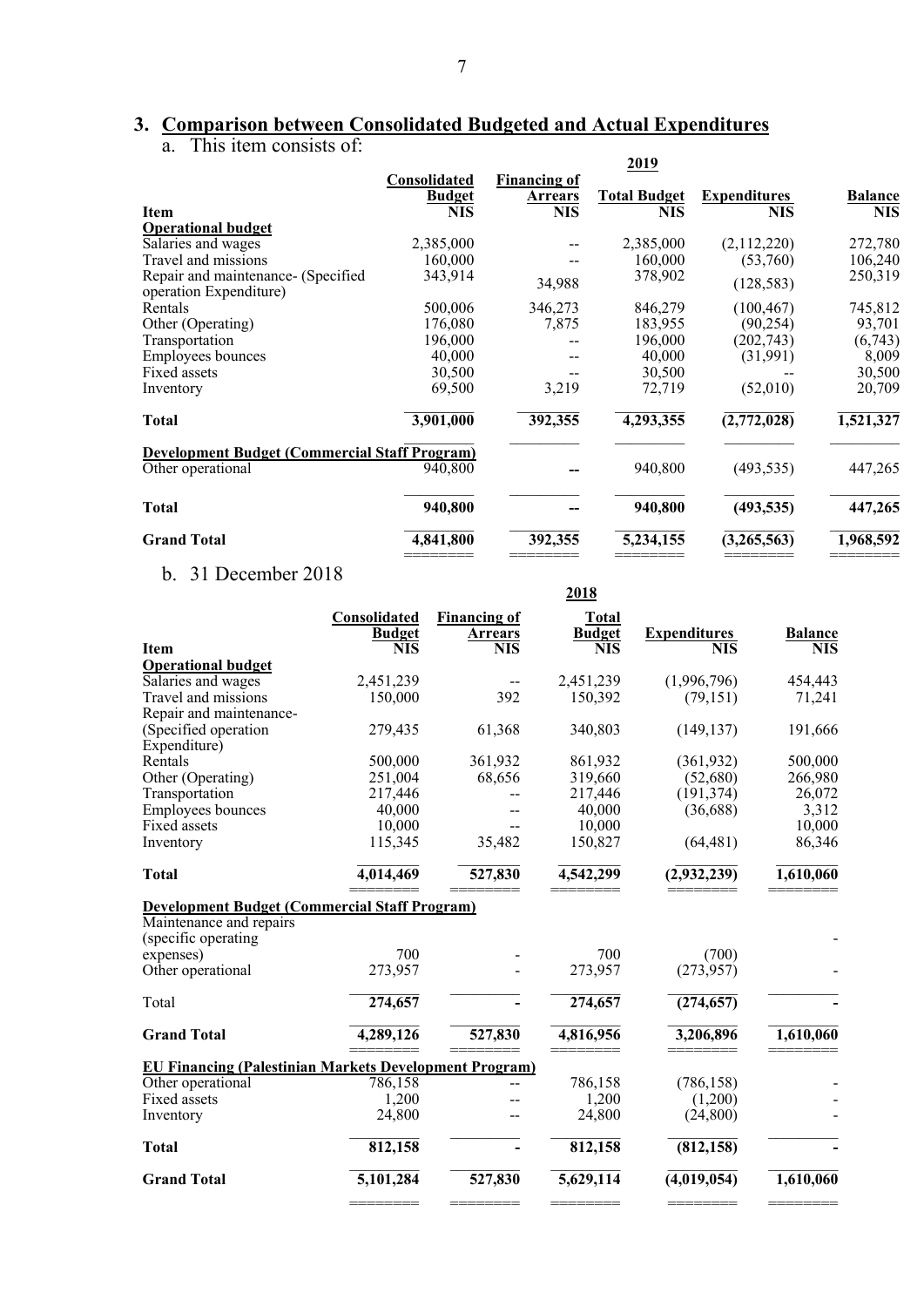#### **3. Comparison between Consolidated Budgeted and Actual Expenditures**

a. This item consists of:

| u.<br>THIS RUIN CONSISTS OF.                                              |                                                    |                                                     | 2019                              |                            |                              |
|---------------------------------------------------------------------------|----------------------------------------------------|-----------------------------------------------------|-----------------------------------|----------------------------|------------------------------|
| Item                                                                      | <u>Consolidated</u><br><b>Budget</b><br><b>NIS</b> | <b>Financing of</b><br><b>Arrears</b><br><b>NIS</b> | <b>Total Budget</b><br><b>NIS</b> | <b>Expenditures</b><br>NIS | <b>Balance</b><br><b>NIS</b> |
| <b>Operational budget</b>                                                 |                                                    |                                                     |                                   |                            |                              |
| Salaries and wages                                                        | 2,385,000                                          |                                                     | 2,385,000                         | (2,112,220)                | 272,780                      |
| Travel and missions                                                       | 160,000                                            |                                                     | 160,000                           | (53,760)                   | 106,240                      |
| Repair and maintenance- (Specified<br>operation Expenditure)              | 343,914                                            | 34,988                                              | 378,902                           | (128, 583)                 | 250,319                      |
| Rentals                                                                   | 500,006                                            | 346,273                                             | 846,279                           | (100, 467)                 | 745,812                      |
| Other (Operating)                                                         | 176,080                                            | 7,875                                               | 183,955                           | (90, 254)                  | 93,701                       |
| Transportation                                                            | 196,000                                            |                                                     | 196,000                           | (202, 743)                 | (6,743)                      |
| <b>Employees bounces</b>                                                  | 40,000                                             |                                                     | 40,000                            | (31,991)                   | 8,009                        |
| Fixed assets                                                              | 30,500                                             |                                                     | 30,500                            |                            | 30,500                       |
| Inventory                                                                 | 69,500                                             | 3,219                                               | 72,719                            | (52,010)                   | 20,709                       |
| <b>Total</b>                                                              | 3,901,000                                          | 392,355                                             | 4,293,355                         | (2,772,028)                | 1,521,327                    |
| <b>Development Budget (Commercial Staff Program)</b><br>Other operational | 940,800                                            |                                                     | 940,800                           | (493, 535)                 | 447,265                      |
| <b>Total</b>                                                              | 940,800                                            |                                                     | 940,800                           | (493, 535)                 | 447,265                      |
| <b>Grand Total</b>                                                        | 4.841.800                                          | 392,355                                             | 5.234.155                         | (3,265,563)                | 1,968,592                    |

# b. 31 December 2018

|                                                                                                         |                               |                       | 2018                          |                          |                              |
|---------------------------------------------------------------------------------------------------------|-------------------------------|-----------------------|-------------------------------|--------------------------|------------------------------|
|                                                                                                         | Consolidated<br><b>Budget</b> | <b>Financing of</b>   | <b>Total</b><br><b>Budget</b> | <b>Expenditures</b>      |                              |
| <b>Item</b>                                                                                             | <b>NIS</b>                    | <b>Arrears</b><br>NIS | <b>NIS</b>                    | <b>NIS</b>               | <b>Balance</b><br><b>NIS</b> |
| <b>Operational budget</b>                                                                               |                               |                       |                               |                          |                              |
| Salaries and wages                                                                                      | 2,451,239                     |                       | 2,451,239                     | (1,996,796)              | 454,443                      |
| Travel and missions                                                                                     | 150,000                       | 392                   | 150,392                       | (79, 151)                | 71,241                       |
| Repair and maintenance-                                                                                 |                               |                       |                               |                          |                              |
| (Specified operation                                                                                    | 279,435                       | 61,368                | 340,803                       | (149, 137)               | 191,666                      |
| Expenditure)                                                                                            |                               |                       |                               |                          |                              |
| Rentals                                                                                                 | 500,000                       | 361,932               | 861,932                       | (361, 932)               | 500,000                      |
| Other (Operating)                                                                                       | 251,004                       | 68,656                | 319,660                       | (52,680)                 | 266,980                      |
| Transportation                                                                                          | 217,446                       |                       | 217,446                       | (191, 374)               | 26,072                       |
| <b>Employees</b> bounces                                                                                | 40,000                        |                       | 40,000                        | (36,688)                 | 3,312                        |
| Fixed assets                                                                                            | 10,000                        |                       | 10,000                        |                          | 10,000                       |
| Inventory                                                                                               | 115,345                       | 35,482                | 150,827                       | (64, 481)                | 86,346                       |
| <b>Total</b>                                                                                            | 4,014,469                     | 527,830               | $\overline{4,542,299}$        | $\sqrt{(2,932,239)}$     | 1,610,060                    |
| <b>Development Budget (Commercial Staff Program)</b><br>Maintenance and repairs<br>(specific operating) |                               |                       |                               |                          |                              |
| expenses)                                                                                               | 700                           |                       | 700                           | (700)                    |                              |
| Other operational                                                                                       | 273,957                       |                       | 273,957                       | (273, 957)               |                              |
| Total                                                                                                   | 274,657                       |                       | 274,657                       | (274, 657)               |                              |
| <b>Grand Total</b>                                                                                      | 4,289,126                     | 527,830               | 4,816,956                     | 3,206,896                | 1,610,060                    |
| <b>EU Financing (Palestinian Markets Development Program)</b>                                           |                               |                       |                               |                          |                              |
| Other operational                                                                                       | 786,158                       |                       | 786,158                       | (786, 158)               |                              |
| Fixed assets                                                                                            | 1,200                         |                       | 1,200                         | (1,200)                  |                              |
| Inventory                                                                                               | 24,800                        |                       | 24,800                        | (24, 800)                |                              |
| <b>Total</b>                                                                                            | 812,158                       |                       | 812,158                       | (812, 158)               |                              |
| <b>Grand Total</b>                                                                                      | 5,101,284                     | 527,830               | 5,629,114                     | $\overline{(4,019,054)}$ | 1,610,060                    |
|                                                                                                         |                               |                       | ========                      |                          |                              |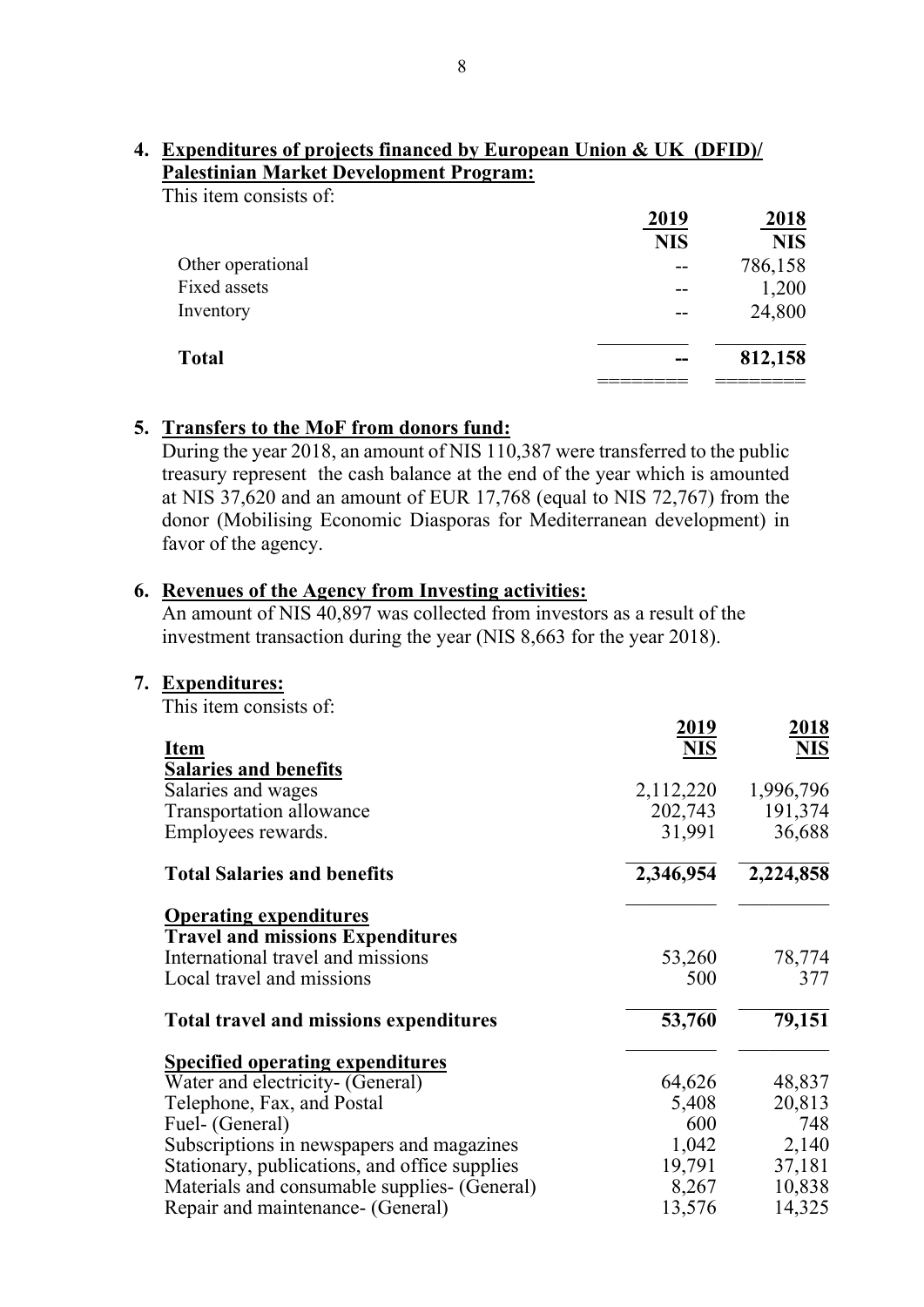| <b>Expenditures of projects financed by European Union &amp; UK (DFID)</b> |            |            |  |
|----------------------------------------------------------------------------|------------|------------|--|
| <b>Palestinian Market Development Program:</b>                             |            |            |  |
| This item consists of:                                                     |            |            |  |
|                                                                            | 2019       | 2018       |  |
|                                                                            | <b>NIS</b> | <b>NIS</b> |  |
| Other operational                                                          |            | 786,158    |  |
| Fixed assets                                                               |            | 1,200      |  |
| Inventory                                                                  |            | 24,800     |  |
| <b>Total</b>                                                               |            | 812,158    |  |
|                                                                            |            |            |  |

# **4. Expenditures of projects financed by European Union & UK (DFID)/**

**5. Transfers to the MoF from donors fund:** 

During the year 2018, an amount of NIS 110,387 were transferred to the public treasury represent the cash balance at the end of the year which is amounted at NIS 37,620 and an amount of EUR 17,768 (equal to NIS 72,767) from the donor (Mobilising Economic Diasporas for Mediterranean development) in favor of the agency.

# **6. Revenues of the Agency from Investing activities:**

An amount of NIS 40,897 was collected from investors as a result of the investment transaction during the year (NIS 8,663 for the year 2018).

#### **7. Expenditures:**

| This item consists of:                        |                     |             |
|-----------------------------------------------|---------------------|-------------|
|                                               | 2019                | <u>2018</u> |
| <u>Item</u>                                   | <b>NIS</b>          | <b>NIS</b>  |
| <b>Salaries and benefits</b>                  |                     |             |
| Salaries and wages                            | 2,112,220           | 1,996,796   |
| <b>Transportation allowance</b>               | 202,743             | 191,374     |
| Employees rewards.                            | 31,991              | 36,688      |
| <b>Total Salaries and benefits</b>            | 2,346,954           | 2,224,858   |
| <b>Operating expenditures</b>                 |                     |             |
| <b>Travel and missions Expenditures</b>       |                     |             |
| International travel and missions             | 53,260              | 78,774      |
| Local travel and missions                     | 500                 | 377         |
| <b>Total travel and missions expenditures</b> | $\overline{53,760}$ | 79,151      |
| <b>Specified operating expenditures</b>       |                     |             |
| Water and electricity- (General)              | 64,626              | 48,837      |
| Telephone, Fax, and Postal                    | 5,408               | 20,813      |
| Fuel- (General)                               | 600                 | 748         |
| Subscriptions in newspapers and magazines     | 1,042               | 2,140       |
| Stationary, publications, and office supplies | 19,791              | 37,181      |
| Materials and consumable supplies- (General)  | 8,267               | 10,838      |
| Repair and maintenance (General)              | 13,576              | 14,325      |
|                                               |                     |             |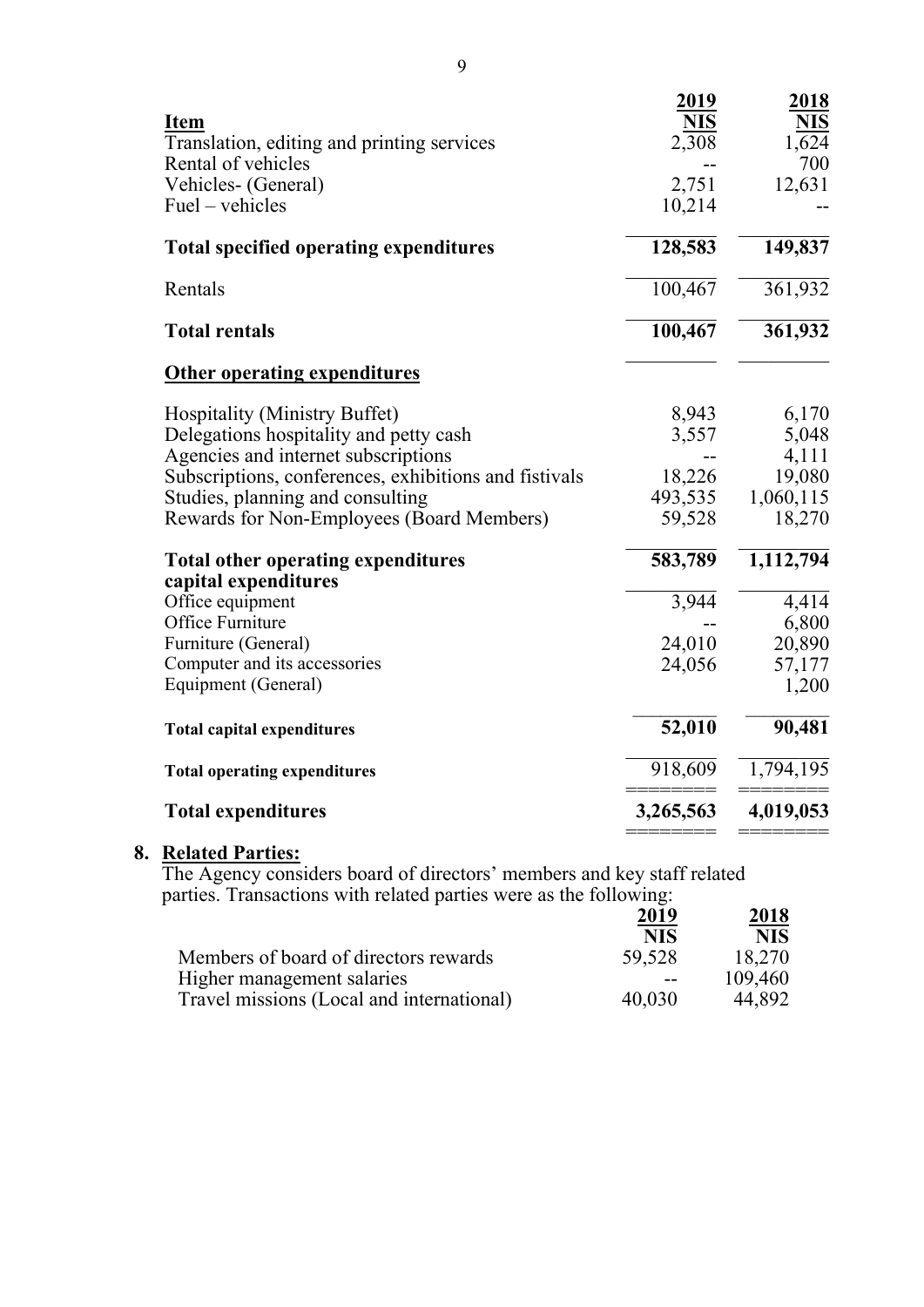|                                                           | 2019<br><b>NIS</b> | 2018<br>NIS |
|-----------------------------------------------------------|--------------------|-------------|
| <b>Item</b><br>Translation, editing and printing services | 2,308              | 1,624       |
| Rental of vehicles                                        |                    | 700         |
| Vehicles- (General)                                       | 2,751              | 12,631      |
| Fuel – vehicles                                           | 10,214             |             |
| <b>Total specified operating expenditures</b>             | 128,583            | 149,837     |
| Rentals                                                   | 100,467            | 361,932     |
| <b>Total rentals</b>                                      | 100,467            | 361,932     |
| <b>Other operating expenditures</b>                       |                    |             |
| <b>Hospitality (Ministry Buffet)</b>                      | 8,943              | 6,170       |
| Delegations hospitality and petty cash                    | 3,557              | 5,048       |
| Agencies and internet subscriptions                       |                    | 4,111       |
| Subscriptions, conferences, exhibitions and fistivals     | 18,226             | 19,080      |
| Studies, planning and consulting                          | 493,535            | 1,060,115   |
| Rewards for Non-Employees (Board Members)                 | 59,528             | 18,270      |
| <b>Total other operating expenditures</b>                 | 583,789            | 1,112,794   |
| capital expenditures                                      |                    |             |
| Office equipment                                          | 3,944              | 4,414       |
| Office Furniture                                          |                    | 6,800       |
| Furniture (General)                                       | 24,010             | 20,890      |
| Computer and its accessories                              | 24,056             | 57,177      |
| Equipment (General)                                       |                    | 1,200       |
| <b>Total capital expenditures</b>                         | 52,010             | 90,481      |
| <b>Total operating expenditures</b>                       | 918,609            | 1,794,195   |
| <b>Total expenditures</b>                                 | 3,265,563          | 4,019,053   |
|                                                           |                    |             |

#### **8. Related Parties:**

The Agency considers board of directors' members and key staff related parties. Transactions with related parties were as the following:

|                                           | 2019       | 2018       |
|-------------------------------------------|------------|------------|
|                                           | <b>NIS</b> | <b>NIS</b> |
| Members of board of directors rewards     | 59,528     | 18,270     |
| Higher management salaries                | --         | 109,460    |
| Travel missions (Local and international) | 40,030     | 44,892     |